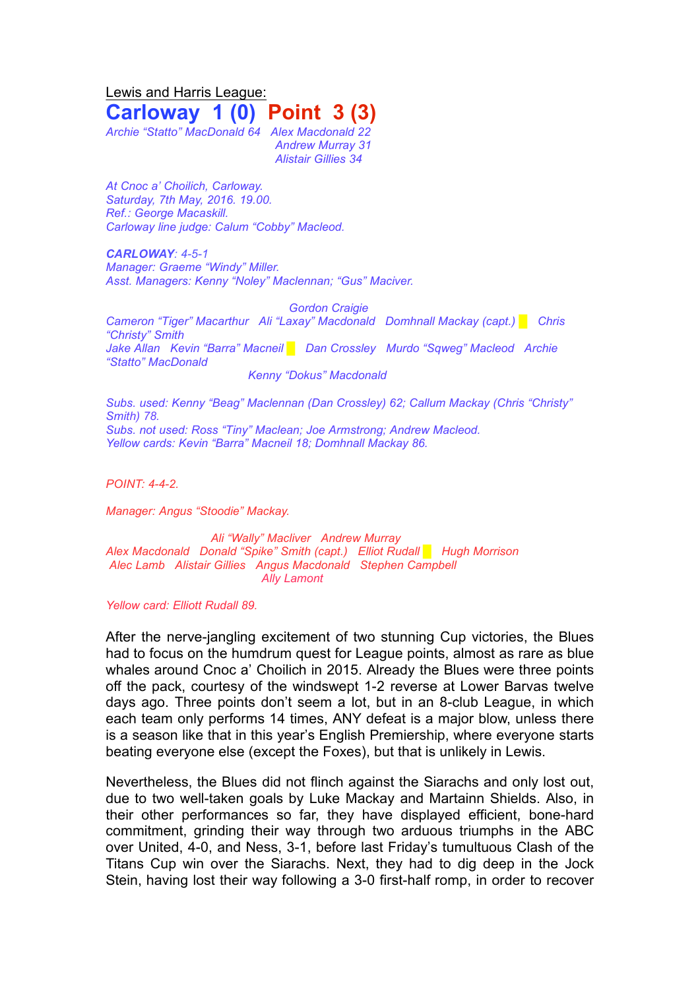Lewis and Harris League: **Carloway 1 (0) Point 3 (3)**

*Archie "Statto" MacDonald 64 Alex Macdonald 22 Andrew Murray 31 Alistair Gillies 34*

*At Cnoc a' Choilich, Carloway. Saturday, 7th May, 2016. 19.00. Ref.: George Macaskill. Carloway line judge: Calum "Cobby" Macleod.*

*CARLOWAY: 4-5-1 Manager: Graeme "Windy" Miller. Asst. Managers: Kenny "Noley" Maclennan; "Gus" Maciver.*

*Gordon Craigie*

*Cameron "Tiger" Macarthur Ali "Laxay" Macdonald Domhnall Mackay (capt.) █ Chris "Christy" Smith Jake Allan Kevin "Barra" Macneil █ Dan Crossley Murdo "Sqweg" Macleod Archie "Statto" MacDonald Kenny "Dokus" Macdonald*

*Subs. used: Kenny "Beag" Maclennan (Dan Crossley) 62; Callum Mackay (Chris "Christy" Smith) 78. Subs. not used: Ross "Tiny" Maclean; Joe Armstrong; Andrew Macleod. Yellow cards: Kevin "Barra" Macneil 18; Domhnall Mackay 86.*

*POINT: 4-4-2.*

*Manager: Angus "Stoodie" Mackay.*

*Ali "Wally" Macliver Andrew Murray Alex Macdonald Donald "Spike" Smith (capt.) Elliot Rudall █ Hugh Morrison Alec Lamb Alistair Gillies Angus Macdonald Stephen Campbell Ally Lamont*

*Yellow card: Elliott Rudall 89.*

After the nerve-jangling excitement of two stunning Cup victories, the Blues had to focus on the humdrum quest for League points, almost as rare as blue whales around Cnoc a' Choilich in 2015. Already the Blues were three points off the pack, courtesy of the windswept 1-2 reverse at Lower Barvas twelve days ago. Three points don't seem a lot, but in an 8-club League, in which each team only performs 14 times, ANY defeat is a major blow, unless there is a season like that in this year's English Premiership, where everyone starts beating everyone else (except the Foxes), but that is unlikely in Lewis.

Nevertheless, the Blues did not flinch against the Siarachs and only lost out, due to two well-taken goals by Luke Mackay and Martainn Shields. Also, in their other performances so far, they have displayed efficient, bone-hard commitment, grinding their way through two arduous triumphs in the ABC over United, 4-0, and Ness, 3-1, before last Friday's tumultuous Clash of the Titans Cup win over the Siarachs. Next, they had to dig deep in the Jock Stein, having lost their way following a 3-0 first-half romp, in order to recover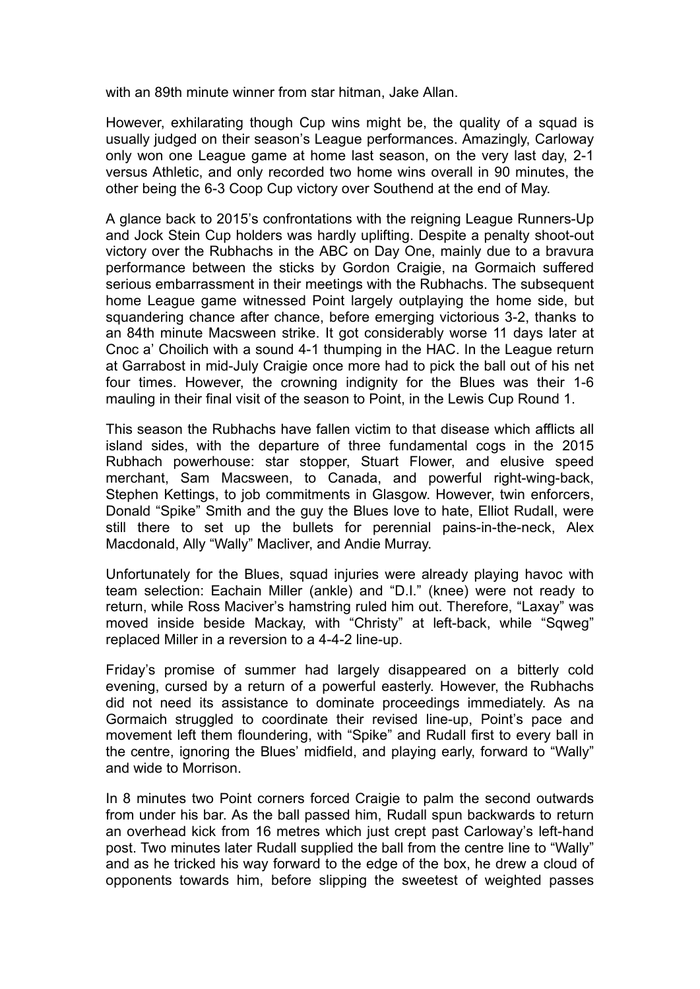with an 89th minute winner from star hitman, Jake Allan.

However, exhilarating though Cup wins might be, the quality of a squad is usually judged on their season's League performances. Amazingly, Carloway only won one League game at home last season, on the very last day, 2-1 versus Athletic, and only recorded two home wins overall in 90 minutes, the other being the 6-3 Coop Cup victory over Southend at the end of May.

A glance back to 2015's confrontations with the reigning League Runners-Up and Jock Stein Cup holders was hardly uplifting. Despite a penalty shoot-out victory over the Rubhachs in the ABC on Day One, mainly due to a bravura performance between the sticks by Gordon Craigie, na Gormaich suffered serious embarrassment in their meetings with the Rubhachs. The subsequent home League game witnessed Point largely outplaying the home side, but squandering chance after chance, before emerging victorious 3-2, thanks to an 84th minute Macsween strike. It got considerably worse 11 days later at Cnoc a' Choilich with a sound 4-1 thumping in the HAC. In the League return at Garrabost in mid-July Craigie once more had to pick the ball out of his net four times. However, the crowning indignity for the Blues was their 1-6 mauling in their final visit of the season to Point, in the Lewis Cup Round 1.

This season the Rubhachs have fallen victim to that disease which afflicts all island sides, with the departure of three fundamental cogs in the 2015 Rubhach powerhouse: star stopper, Stuart Flower, and elusive speed merchant, Sam Macsween, to Canada, and powerful right-wing-back, Stephen Kettings, to job commitments in Glasgow. However, twin enforcers, Donald "Spike" Smith and the guy the Blues love to hate, Elliot Rudall, were still there to set up the bullets for perennial pains-in-the-neck, Alex Macdonald, Ally "Wally" Macliver, and Andie Murray.

Unfortunately for the Blues, squad injuries were already playing havoc with team selection: Eachain Miller (ankle) and "D.I." (knee) were not ready to return, while Ross Maciver's hamstring ruled him out. Therefore, "Laxay" was moved inside beside Mackay, with "Christy" at left-back, while "Sqweg" replaced Miller in a reversion to a 4-4-2 line-up.

Friday's promise of summer had largely disappeared on a bitterly cold evening, cursed by a return of a powerful easterly. However, the Rubhachs did not need its assistance to dominate proceedings immediately. As na Gormaich struggled to coordinate their revised line-up, Point's pace and movement left them floundering, with "Spike" and Rudall first to every ball in the centre, ignoring the Blues' midfield, and playing early, forward to "Wally" and wide to Morrison.

In 8 minutes two Point corners forced Craigie to palm the second outwards from under his bar. As the ball passed him, Rudall spun backwards to return an overhead kick from 16 metres which just crept past Carloway's left-hand post. Two minutes later Rudall supplied the ball from the centre line to "Wally" and as he tricked his way forward to the edge of the box, he drew a cloud of opponents towards him, before slipping the sweetest of weighted passes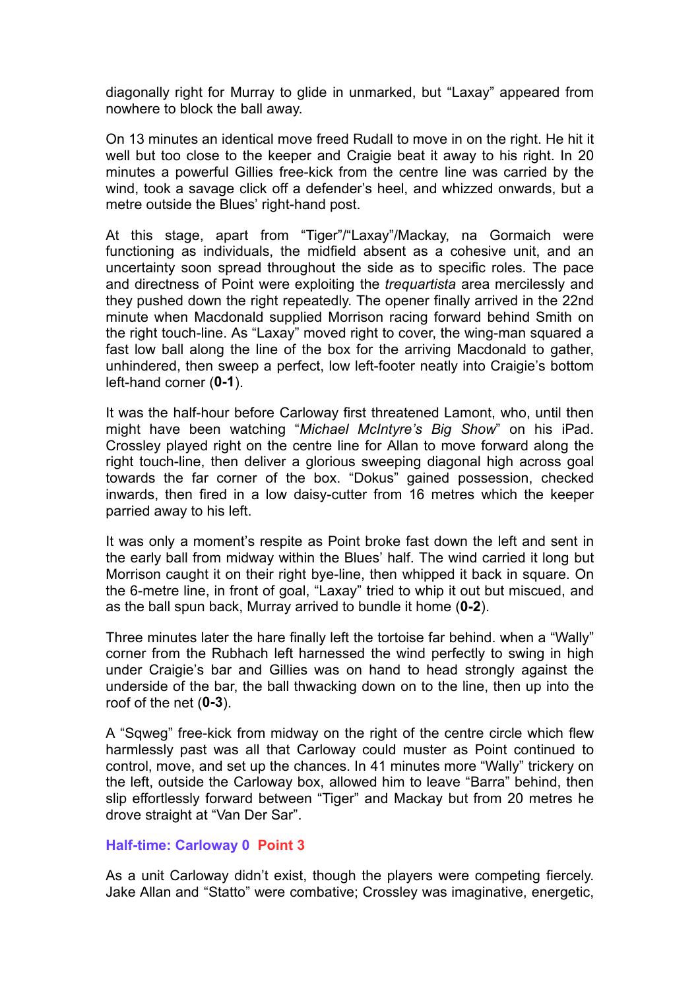diagonally right for Murray to glide in unmarked, but "Laxay" appeared from nowhere to block the ball away.

On 13 minutes an identical move freed Rudall to move in on the right. He hit it well but too close to the keeper and Craigie beat it away to his right. In 20 minutes a powerful Gillies free-kick from the centre line was carried by the wind, took a savage click off a defender's heel, and whizzed onwards, but a metre outside the Blues' right-hand post.

At this stage, apart from "Tiger"/"Laxay"/Mackay, na Gormaich were functioning as individuals, the midfield absent as a cohesive unit, and an uncertainty soon spread throughout the side as to specific roles. The pace and directness of Point were exploiting the *trequartista* area mercilessly and they pushed down the right repeatedly. The opener finally arrived in the 22nd minute when Macdonald supplied Morrison racing forward behind Smith on the right touch-line. As "Laxay" moved right to cover, the wing-man squared a fast low ball along the line of the box for the arriving Macdonald to gather, unhindered, then sweep a perfect, low left-footer neatly into Craigie's bottom left-hand corner (**0-1**).

It was the half-hour before Carloway first threatened Lamont, who, until then might have been watching "*Michael McIntyre's Big Show*" on his iPad. Crossley played right on the centre line for Allan to move forward along the right touch-line, then deliver a glorious sweeping diagonal high across goal towards the far corner of the box. "Dokus" gained possession, checked inwards, then fired in a low daisy-cutter from 16 metres which the keeper parried away to his left.

It was only a moment's respite as Point broke fast down the left and sent in the early ball from midway within the Blues' half. The wind carried it long but Morrison caught it on their right bye-line, then whipped it back in square. On the 6-metre line, in front of goal, "Laxay" tried to whip it out but miscued, and as the ball spun back, Murray arrived to bundle it home (**0-2**).

Three minutes later the hare finally left the tortoise far behind. when a "Wally" corner from the Rubhach left harnessed the wind perfectly to swing in high under Craigie's bar and Gillies was on hand to head strongly against the underside of the bar, the ball thwacking down on to the line, then up into the roof of the net (**0-3**).

A "Sqweg" free-kick from midway on the right of the centre circle which flew harmlessly past was all that Carloway could muster as Point continued to control, move, and set up the chances. In 41 minutes more "Wally" trickery on the left, outside the Carloway box, allowed him to leave "Barra" behind, then slip effortlessly forward between "Tiger" and Mackay but from 20 metres he drove straight at "Van Der Sar".

## **Half-time: Carloway 0 Point 3**

As a unit Carloway didn't exist, though the players were competing fiercely. Jake Allan and "Statto" were combative; Crossley was imaginative, energetic,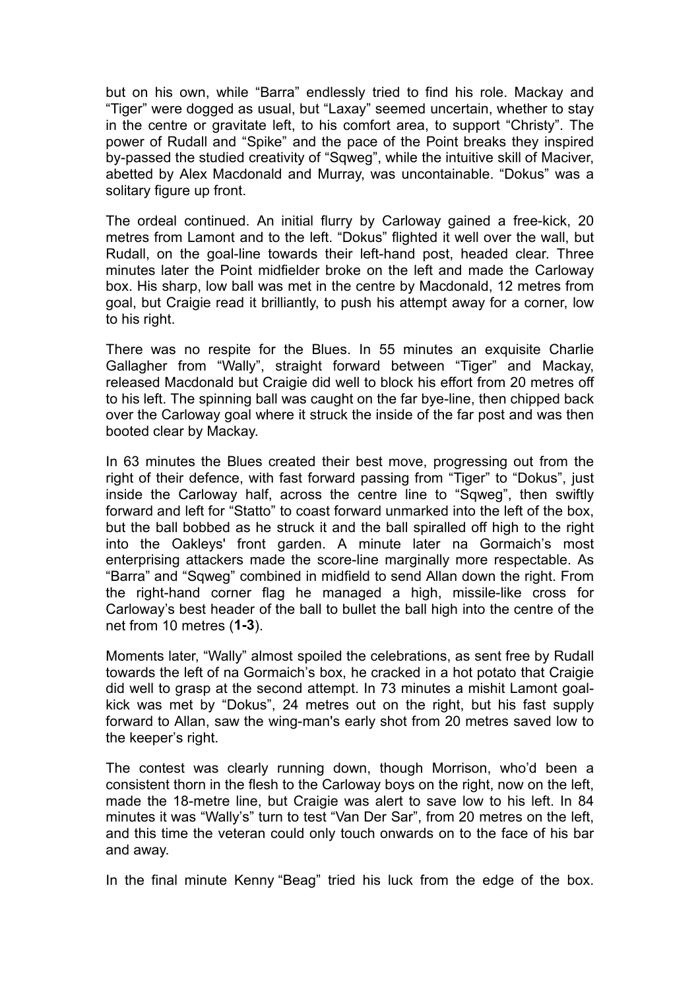but on his own, while "Barra" endlessly tried to find his role. Mackay and "Tiger" were dogged as usual, but "Laxay" seemed uncertain, whether to stay in the centre or gravitate left, to his comfort area, to support "Christy". The power of Rudall and "Spike" and the pace of the Point breaks they inspired by-passed the studied creativity of "Sqweg", while the intuitive skill of Maciver, abetted by Alex Macdonald and Murray, was uncontainable. "Dokus" was a solitary figure up front.

The ordeal continued. An initial flurry by Carloway gained a free-kick, 20 metres from Lamont and to the left. "Dokus" flighted it well over the wall, but Rudall, on the goal-line towards their left-hand post, headed clear. Three minutes later the Point midfielder broke on the left and made the Carloway box. His sharp, low ball was met in the centre by Macdonald, 12 metres from goal, but Craigie read it brilliantly, to push his attempt away for a corner, low to his right.

There was no respite for the Blues. In 55 minutes an exquisite Charlie Gallagher from "Wally", straight forward between "Tiger" and Mackay, released Macdonald but Craigie did well to block his effort from 20 metres off to his left. The spinning ball was caught on the far bye-line, then chipped back over the Carloway goal where it struck the inside of the far post and was then booted clear by Mackay.

In 63 minutes the Blues created their best move, progressing out from the right of their defence, with fast forward passing from "Tiger" to "Dokus", just inside the Carloway half, across the centre line to "Sqweg", then swiftly forward and left for "Statto" to coast forward unmarked into the left of the box, but the ball bobbed as he struck it and the ball spiralled off high to the right into the Oakleys' front garden. A minute later na Gormaich's most enterprising attackers made the score-line marginally more respectable. As "Barra" and "Sqweg" combined in midfield to send Allan down the right. From the right-hand corner flag he managed a high, missile-like cross for Carloway's best header of the ball to bullet the ball high into the centre of the net from 10 metres (**1-3**).

Moments later, "Wally" almost spoiled the celebrations, as sent free by Rudall towards the left of na Gormaich's box, he cracked in a hot potato that Craigie did well to grasp at the second attempt. In 73 minutes a mishit Lamont goalkick was met by "Dokus", 24 metres out on the right, but his fast supply forward to Allan, saw the wing-man's early shot from 20 metres saved low to the keeper's right.

The contest was clearly running down, though Morrison, who'd been a consistent thorn in the flesh to the Carloway boys on the right, now on the left, made the 18-metre line, but Craigie was alert to save low to his left. In 84 minutes it was "Wally's" turn to test "Van Der Sar", from 20 metres on the left, and this time the veteran could only touch onwards on to the face of his bar and away.

In the final minute Kenny "Beag" tried his luck from the edge of the box.